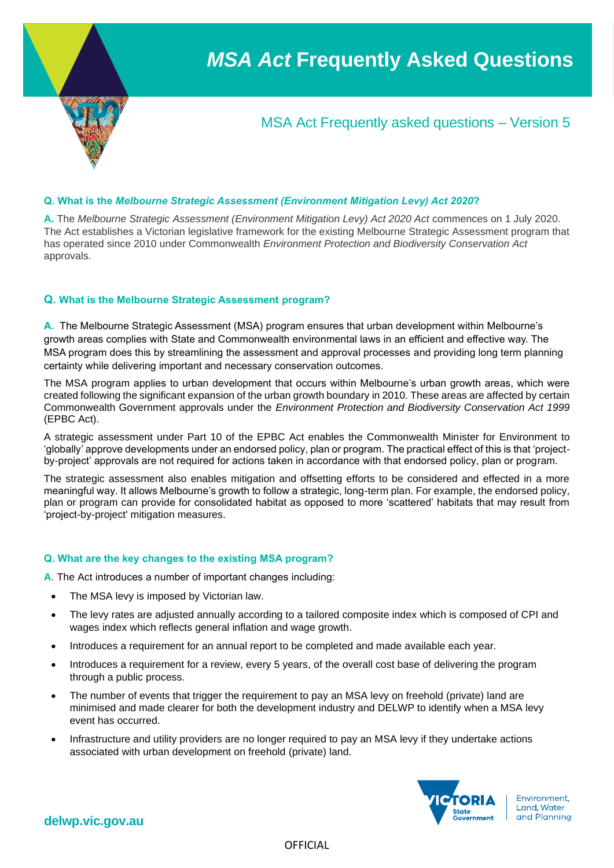

# MSA Act Frequently asked questions – Version 5

### **Q. What is the** *Melbourne Strategic Assessment (Environment Mitigation Levy) Act 2020***?**

**A.** The *Melbourne Strategic Assessment (Environment Mitigation Levy) Act 2020 Act* commences on 1 July 2020. The Act establishes a Victorian legislative framework for the existing Melbourne Strategic Assessment program that has operated since 2010 under Commonwealth *Environment Protection and Biodiversity Conservation Act*  approvals.

### **Q. What is the Melbourne Strategic Assessment program?**

**A.** The Melbourne Strategic Assessment (MSA) program ensures that urban development within Melbourne's growth areas complies with State and Commonwealth environmental laws in an efficient and effective way. The MSA program does this by streamlining the assessment and approval processes and providing long term planning certainty while delivering important and necessary conservation outcomes.

The MSA program applies to urban development that occurs within Melbourne's urban growth areas, which were created following the significant expansion of the urban growth boundary in 2010. These areas are affected by certain Commonwealth Government approvals under the *Environment Protection and Biodiversity Conservation Act 1999*  (EPBC Act).

A strategic assessment under Part 10 of the EPBC Act enables the Commonwealth Minister for Environment to 'globally' approve developments under an endorsed policy, plan or program. The practical effect of this is that 'projectby-project' approvals are not required for actions taken in accordance with that endorsed policy, plan or program.

The strategic assessment also enables mitigation and offsetting efforts to be considered and effected in a more meaningful way. It allows Melbourne's growth to follow a strategic, long-term plan. For example, the endorsed policy, plan or program can provide for consolidated habitat as opposed to more 'scattered' habitats that may result from 'project-by-project' mitigation measures.

### **Q. What are the key changes to the existing MSA program?**

**A**. The Act introduces a number of important changes including:

- The MSA levy is imposed by Victorian law.
- The levy rates are adjusted annually according to a tailored composite index which is composed of CPI and wages index which reflects general inflation and wage growth.
- Introduces a requirement for an annual report to be completed and made available each year.
- Introduces a requirement for a review, every 5 years, of the overall cost base of delivering the program through a public process.
- The number of events that trigger the requirement to pay an MSA levy on freehold (private) land are minimised and made clearer for both the development industry and DELWP to identify when a MSA levy event has occurred.
- Infrastructure and utility providers are no longer required to pay an MSA levy if they undertake actions associated with urban development on freehold (private) land.

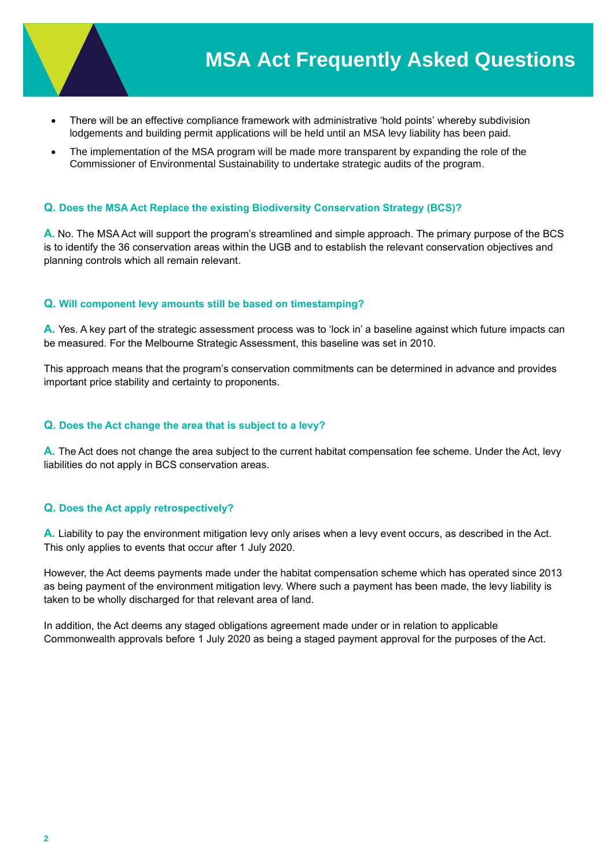

- There will be an effective compliance framework with administrative 'hold points' whereby subdivision lodgements and building permit applications will be held until an MSA levy liability has been paid.
- The implementation of the MSA program will be made more transparent by expanding the role of the Commissioner of Environmental Sustainability to undertake strategic audits of the program.

## **Q. Does the MSA Act Replace the existing Biodiversity Conservation Strategy (BCS)?**

**A.** No. The MSA Act will support the program's streamlined and simple approach. The primary purpose of the BCS is to identify the 36 conservation areas within the UGB and to establish the relevant conservation objectives and planning controls which all remain relevant.

### **Q. Will component levy amounts still be based on timestamping?**

**A.** Yes. A key part of the strategic assessment process was to 'lock in' a baseline against which future impacts can be measured. For the Melbourne Strategic Assessment, this baseline was set in 2010.

This approach means that the program's conservation commitments can be determined in advance and provides important price stability and certainty to proponents.

#### **Q. Does the Act change the area that is subject to a levy?**

**A.** The Act does not change the area subject to the current habitat compensation fee scheme. Under the Act, levy liabilities do not apply in BCS conservation areas.

### **Q. Does the Act apply retrospectively?**

**A.** Liability to pay the environment mitigation levy only arises when a levy event occurs, as described in the Act. This only applies to events that occur after 1 July 2020.

However, the Act deems payments made under the habitat compensation scheme which has operated since 2013 as being payment of the environment mitigation levy. Where such a payment has been made, the levy liability is taken to be wholly discharged for that relevant area of land.

In addition, the Act deems any staged obligations agreement made under or in relation to applicable Commonwealth approvals before 1 July 2020 as being a staged payment approval for the purposes of the Act.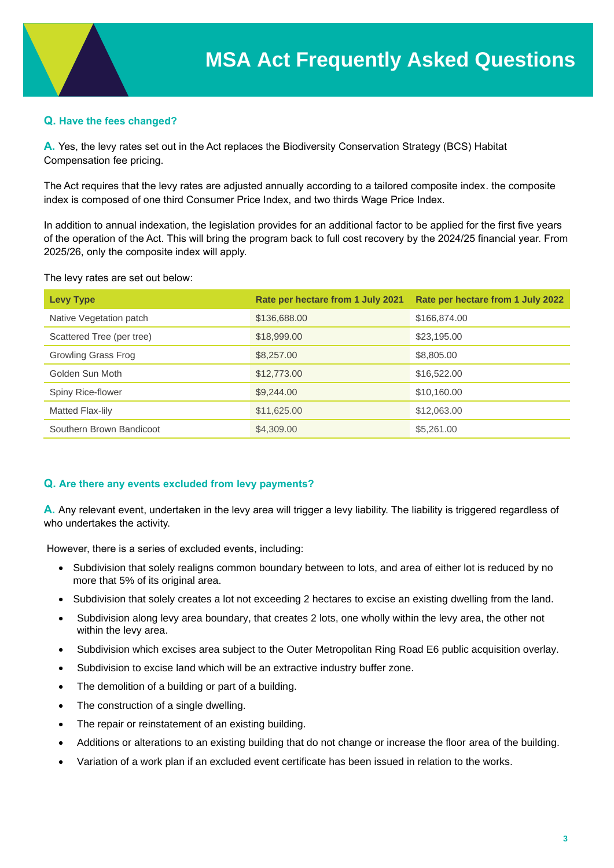# **Q. Have the fees changed?**

**A.** Yes, the levy rates set out in the Act replaces the Biodiversity Conservation Strategy (BCS) Habitat Compensation fee pricing.

The Act requires that the levy rates are adjusted annually according to a tailored composite index. the composite index is composed of one third Consumer Price Index, and two thirds Wage Price Index.

In addition to annual indexation, the legislation provides for an additional factor to be applied for the first five years of the operation of the Act. This will bring the program back to full cost recovery by the 2024/25 financial year. From 2025/26, only the composite index will apply.

The levy rates are set out below:

| <b>Levy Type</b>          | Rate per hectare from 1 July 2021 | Rate per hectare from 1 July 2022 |
|---------------------------|-----------------------------------|-----------------------------------|
| Native Vegetation patch   | \$136,688.00                      | \$166,874.00                      |
| Scattered Tree (per tree) | \$18,999.00                       | \$23,195.00                       |
| Growling Grass Frog       | \$8,257.00                        | \$8,805.00                        |
| Golden Sun Moth           | \$12,773.00                       | \$16,522.00                       |
| Spiny Rice-flower         | \$9,244.00                        | \$10,160.00                       |
| Matted Flax-lily          | \$11,625.00                       | \$12,063.00                       |
| Southern Brown Bandicoot  | \$4,309.00                        | \$5,261.00                        |

### **Q. Are there any events excluded from levy payments?**

**A.** Any relevant event, undertaken in the levy area will trigger a levy liability. The liability is triggered regardless of who undertakes the activity.

However, there is a series of excluded events, including:

- Subdivision that solely realigns common boundary between to lots, and area of either lot is reduced by no more that 5% of its original area.
- Subdivision that solely creates a lot not exceeding 2 hectares to excise an existing dwelling from the land.
- Subdivision along levy area boundary, that creates 2 lots, one wholly within the levy area, the other not within the levy area.
- Subdivision which excises area subject to the Outer Metropolitan Ring Road E6 public acquisition overlay.
- Subdivision to excise land which will be an extractive industry buffer zone.
- The demolition of a building or part of a building.
- The construction of a single dwelling.
- The repair or reinstatement of an existing building.
- Additions or alterations to an existing building that do not change or increase the floor area of the building.
- Variation of a work plan if an excluded event certificate has been issued in relation to the works.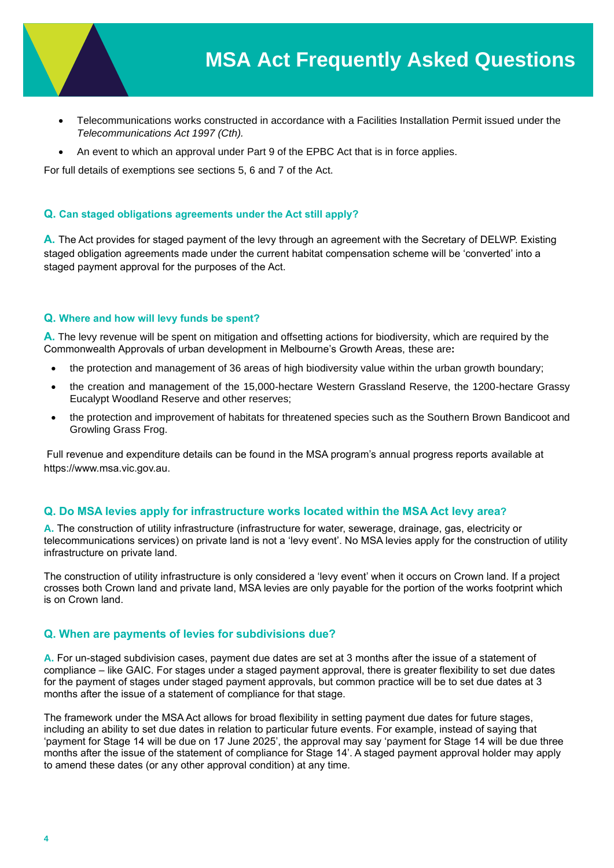

- Telecommunications works constructed in accordance with a Facilities Installation Permit issued under the *Telecommunications Act 1997 (Cth).*
- An event to which an approval under Part 9 of the EPBC Act that is in force applies.

For full details of exemptions see sections 5, 6 and 7 of the Act.

# **Q. Can staged obligations agreements under the Act still apply?**

**A.** The Act provides for staged payment of the levy through an agreement with the Secretary of DELWP. Existing staged obligation agreements made under the current habitat compensation scheme will be 'converted' into a staged payment approval for the purposes of the Act.

### **Q. Where and how will levy funds be spent?**

**A.** The levy revenue will be spent on mitigation and offsetting actions for biodiversity, which are required by the Commonwealth Approvals of urban development in Melbourne's Growth Areas, these are**:**

- the protection and management of 36 areas of high biodiversity value within the urban growth boundary;
- the creation and management of the 15,000-hectare Western Grassland Reserve, the 1200-hectare Grassy Eucalypt Woodland Reserve and other reserves;
- the protection and improvement of habitats for threatened species such as the Southern Brown Bandicoot and Growling Grass Frog.

Full revenue and expenditure details can be found in the MSA program's annual progress reports available at https://www.msa.vic.gov.au.

# **Q. Do MSA levies apply for infrastructure works located within the MSA Act levy area?**

**A.** The construction of utility infrastructure (infrastructure for water, sewerage, drainage, gas, electricity or telecommunications services) on private land is not a 'levy event'. No MSA levies apply for the construction of utility infrastructure on private land.

The construction of utility infrastructure is only considered a 'levy event' when it occurs on Crown land. If a project crosses both Crown land and private land, MSA levies are only payable for the portion of the works footprint which is on Crown land.

# **Q. When are payments of levies for subdivisions due?**

**A.** For un-staged subdivision cases, payment due dates are set at 3 months after the issue of a statement of compliance – like GAIC. For stages under a staged payment approval, there is greater flexibility to set due dates for the payment of stages under staged payment approvals, but common practice will be to set due dates at 3 months after the issue of a statement of compliance for that stage.

The framework under the MSA Act allows for broad flexibility in setting payment due dates for future stages, including an ability to set due dates in relation to particular future events. For example, instead of saying that 'payment for Stage 14 will be due on 17 June 2025', the approval may say 'payment for Stage 14 will be due three months after the issue of the statement of compliance for Stage 14'. A staged payment approval holder may apply to amend these dates (or any other approval condition) at any time.